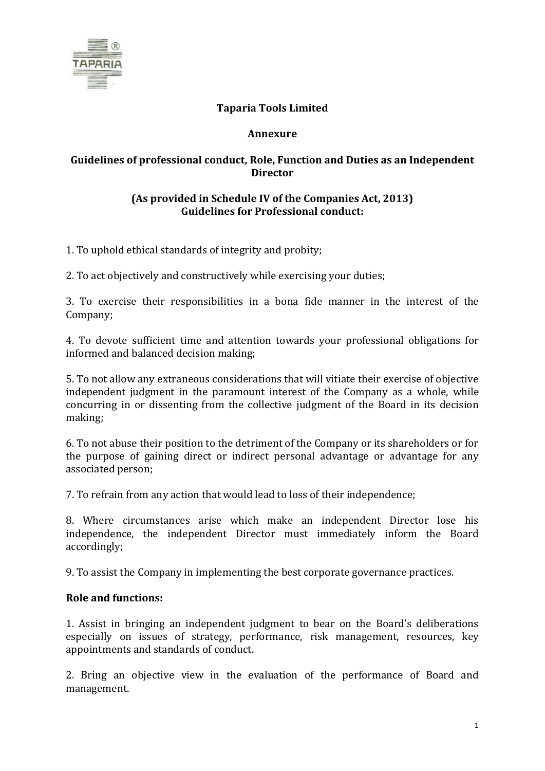

# **Taparia Tools Limited**

#### **Annexure**

## **Guidelines of professional conduct, Role, Function and Duties as an Independent Director**

### **(As provided in Schedule IV of the Companies Act, 2013) Guidelines for Professional conduct:**

1. To uphold ethical standards of integrity and probity;

2. To act objectively and constructively while exercising your duties;

3. To exercise their responsibilities in a bona fide manner in the interest of the Company;

4. To devote sufficient time and attention towards your professional obligations for informed and balanced decision making;

5. To not allow any extraneous considerations that will vitiate their exercise of objective independent judgment in the paramount interest of the Company as a whole, while concurring in or dissenting from the collective judgment of the Board in its decision making;

6. To not abuse their position to the detriment of the Company or its shareholders or for the purpose of gaining direct or indirect personal advantage or advantage for any associated person;

7. To refrain from any action that would lead to loss of their independence;

8. Where circumstances arise which make an independent Director lose his independence, the independent Director must immediately inform the Board accordingly;

9. To assist the Company in implementing the best corporate governance practices.

### **Role and functions:**

1. Assist in bringing an independent judgment to bear on the Board's deliberations especially on issues of strategy, performance, risk management, resources, key appointments and standards of conduct.

2. Bring an objective view in the evaluation of the performance of Board and management.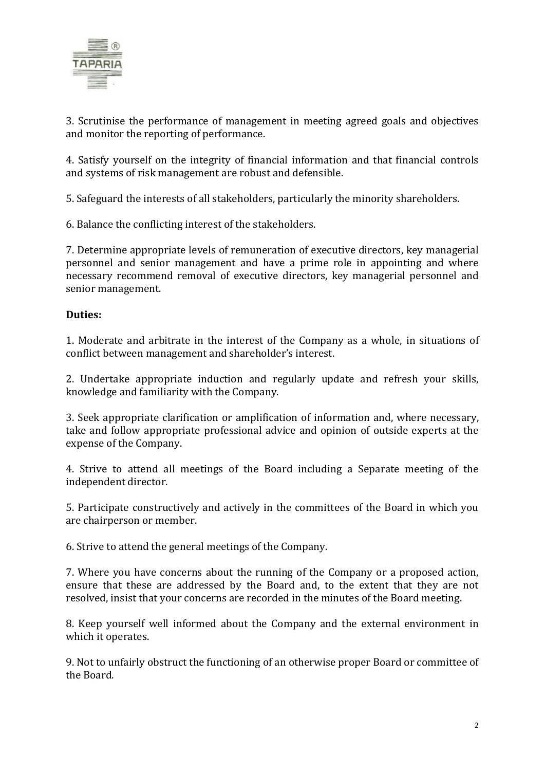

3. Scrutinise the performance of management in meeting agreed goals and objectives and monitor the reporting of performance.

4. Satisfy yourself on the integrity of financial information and that financial controls and systems of risk management are robust and defensible.

5. Safeguard the interests of all stakeholders, particularly the minority shareholders.

6. Balance the conflicting interest of the stakeholders.

7. Determine appropriate levels of remuneration of executive directors, key managerial personnel and senior management and have a prime role in appointing and where necessary recommend removal of executive directors, key managerial personnel and senior management.

#### **Duties:**

1. Moderate and arbitrate in the interest of the Company as a whole, in situations of conflict between management and shareholder's interest.

2. Undertake appropriate induction and regularly update and refresh your skills, knowledge and familiarity with the Company.

3. Seek appropriate clarification or amplification of information and, where necessary, take and follow appropriate professional advice and opinion of outside experts at the expense of the Company.

4. Strive to attend all meetings of the Board including a Separate meeting of the independent director.

5. Participate constructively and actively in the committees of the Board in which you are chairperson or member.

6. Strive to attend the general meetings of the Company.

7. Where you have concerns about the running of the Company or a proposed action, ensure that these are addressed by the Board and, to the extent that they are not resolved, insist that your concerns are recorded in the minutes of the Board meeting.

8. Keep yourself well informed about the Company and the external environment in which it operates.

9. Not to unfairly obstruct the functioning of an otherwise proper Board or committee of the Board.